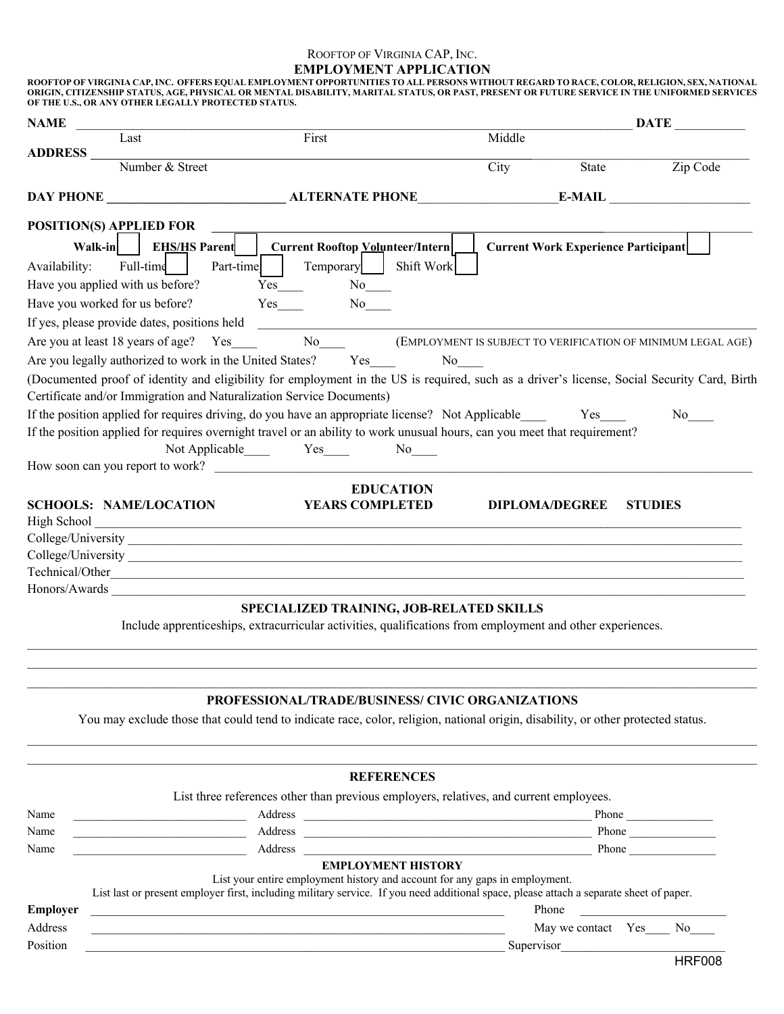## ROOFTOP OF VIRGINIA CAP, INC. **EMPLOYMENT APPLICATION** ROOFTOP OF VIRGINIA CAP, INC. OFFERS EQUAL EMPLOYMENT OPPORTUNITIES TO ALL PERSONS WITHOUT REGARD TO RACE, COLOR, RELIGION, SEX, NATIONAL<br>ORIGIN, CITIZENSHIP STATUS, AGE, PHYSICAL OR MENTAL DISABILITY, MARITAL STATUS, OR P

**OF THE U.S., OR ANY OTHER LEGALLY PROTECTED STATUS.**

| First<br>Middle<br>Last<br><b>ADDRESS</b><br>Number & Street<br>Zip Code<br>City<br>State<br><b>DAY PHONE ALTERNATE PHONE E-MAIL</b><br><b>POSITION(S) APPLIED FOR</b><br>Walk-in  <br><b>EHS/HS Parent   Current Rooftop Volunteer/Intern</b><br><b>Current Work Experience Participant</b><br>Full-time<br>Temporary  <br>Shift Work<br>Part-time<br>Availability:<br>Have you applied with us before?<br>No<br>Have you worked for us before?<br>$Yes$ <sub>___</sub><br>No No<br>If yes, please provide dates, positions held<br>Are you at least 18 years of age? Yes_____ No_____ (EMPLOYMENT IS SUBJECT TO VERIFICATION OF MINIMUM LEGAL AGE)<br>Are you legally authorized to work in the United States? Yes<br>No<br>(Documented proof of identity and eligibility for employment in the US is required, such as a driver's license, Social Security Card, Birth<br>Certificate and/or Immigration and Naturalization Service Documents)<br>If the position applied for requires driving, do you have an appropriate license? Not Applicable<br>Yes<br>No results<br>If the position applied for requires overnight travel or an ability to work unusual hours, can you meet that requirement?<br>Not Applicable Yes No<br>How soon can you report to work?<br><b>EDUCATION</b><br><b>YEARS COMPLETED</b><br><b>SCHOOLS: NAME/LOCATION</b><br><b>DIPLOMA/DEGREE</b><br><b>STUDIES</b><br>High School<br>Technical/Other<br>SPECIALIZED TRAINING, JOB-RELATED SKILLS<br>Include apprenticeships, extracurricular activities, qualifications from employment and other experiences.<br>PROFESSIONAL/TRADE/BUSINESS/ CIVIC ORGANIZATIONS<br>You may exclude those that could tend to indicate race, color, religion, national origin, disability, or other protected status.<br><b>REFERENCES</b><br>List three references other than previous employers, relatives, and current employees.<br>Phone<br><b>EMPLOYMENT HISTORY</b><br>List your entire employment history and account for any gaps in employment.<br>List last or present employer first, including military service. If you need additional space, please attach a separate sheet of paper.<br>Phone<br><b>Employer</b><br>Address<br>May we contact Yes____ No____<br><u> 1989 - Johann Harry Harry Harry Harry Harry Harry Harry Harry Harry Harry Harry Harry Harry Harry Harry Harry</u><br>Position<br>Supervisor<br><b>HRF008</b> | <b>NAME</b> |  | <b>DATE</b> |
|---------------------------------------------------------------------------------------------------------------------------------------------------------------------------------------------------------------------------------------------------------------------------------------------------------------------------------------------------------------------------------------------------------------------------------------------------------------------------------------------------------------------------------------------------------------------------------------------------------------------------------------------------------------------------------------------------------------------------------------------------------------------------------------------------------------------------------------------------------------------------------------------------------------------------------------------------------------------------------------------------------------------------------------------------------------------------------------------------------------------------------------------------------------------------------------------------------------------------------------------------------------------------------------------------------------------------------------------------------------------------------------------------------------------------------------------------------------------------------------------------------------------------------------------------------------------------------------------------------------------------------------------------------------------------------------------------------------------------------------------------------------------------------------------------------------------------------------------------------------------------------------------------------------------------------------------------------------------------------------------------------------------------------------------------------------------------------------------------------------------------------------------------------------------------------------------------------------------------------------------------------------------------------------------------------------------------------------------------------------------------------------------------------------|-------------|--|-------------|
|                                                                                                                                                                                                                                                                                                                                                                                                                                                                                                                                                                                                                                                                                                                                                                                                                                                                                                                                                                                                                                                                                                                                                                                                                                                                                                                                                                                                                                                                                                                                                                                                                                                                                                                                                                                                                                                                                                                                                                                                                                                                                                                                                                                                                                                                                                                                                                                                               |             |  |             |
|                                                                                                                                                                                                                                                                                                                                                                                                                                                                                                                                                                                                                                                                                                                                                                                                                                                                                                                                                                                                                                                                                                                                                                                                                                                                                                                                                                                                                                                                                                                                                                                                                                                                                                                                                                                                                                                                                                                                                                                                                                                                                                                                                                                                                                                                                                                                                                                                               |             |  |             |
|                                                                                                                                                                                                                                                                                                                                                                                                                                                                                                                                                                                                                                                                                                                                                                                                                                                                                                                                                                                                                                                                                                                                                                                                                                                                                                                                                                                                                                                                                                                                                                                                                                                                                                                                                                                                                                                                                                                                                                                                                                                                                                                                                                                                                                                                                                                                                                                                               |             |  |             |
|                                                                                                                                                                                                                                                                                                                                                                                                                                                                                                                                                                                                                                                                                                                                                                                                                                                                                                                                                                                                                                                                                                                                                                                                                                                                                                                                                                                                                                                                                                                                                                                                                                                                                                                                                                                                                                                                                                                                                                                                                                                                                                                                                                                                                                                                                                                                                                                                               |             |  |             |
|                                                                                                                                                                                                                                                                                                                                                                                                                                                                                                                                                                                                                                                                                                                                                                                                                                                                                                                                                                                                                                                                                                                                                                                                                                                                                                                                                                                                                                                                                                                                                                                                                                                                                                                                                                                                                                                                                                                                                                                                                                                                                                                                                                                                                                                                                                                                                                                                               |             |  |             |
|                                                                                                                                                                                                                                                                                                                                                                                                                                                                                                                                                                                                                                                                                                                                                                                                                                                                                                                                                                                                                                                                                                                                                                                                                                                                                                                                                                                                                                                                                                                                                                                                                                                                                                                                                                                                                                                                                                                                                                                                                                                                                                                                                                                                                                                                                                                                                                                                               |             |  |             |
|                                                                                                                                                                                                                                                                                                                                                                                                                                                                                                                                                                                                                                                                                                                                                                                                                                                                                                                                                                                                                                                                                                                                                                                                                                                                                                                                                                                                                                                                                                                                                                                                                                                                                                                                                                                                                                                                                                                                                                                                                                                                                                                                                                                                                                                                                                                                                                                                               |             |  |             |
|                                                                                                                                                                                                                                                                                                                                                                                                                                                                                                                                                                                                                                                                                                                                                                                                                                                                                                                                                                                                                                                                                                                                                                                                                                                                                                                                                                                                                                                                                                                                                                                                                                                                                                                                                                                                                                                                                                                                                                                                                                                                                                                                                                                                                                                                                                                                                                                                               |             |  |             |
|                                                                                                                                                                                                                                                                                                                                                                                                                                                                                                                                                                                                                                                                                                                                                                                                                                                                                                                                                                                                                                                                                                                                                                                                                                                                                                                                                                                                                                                                                                                                                                                                                                                                                                                                                                                                                                                                                                                                                                                                                                                                                                                                                                                                                                                                                                                                                                                                               |             |  |             |
|                                                                                                                                                                                                                                                                                                                                                                                                                                                                                                                                                                                                                                                                                                                                                                                                                                                                                                                                                                                                                                                                                                                                                                                                                                                                                                                                                                                                                                                                                                                                                                                                                                                                                                                                                                                                                                                                                                                                                                                                                                                                                                                                                                                                                                                                                                                                                                                                               |             |  |             |
|                                                                                                                                                                                                                                                                                                                                                                                                                                                                                                                                                                                                                                                                                                                                                                                                                                                                                                                                                                                                                                                                                                                                                                                                                                                                                                                                                                                                                                                                                                                                                                                                                                                                                                                                                                                                                                                                                                                                                                                                                                                                                                                                                                                                                                                                                                                                                                                                               |             |  |             |
|                                                                                                                                                                                                                                                                                                                                                                                                                                                                                                                                                                                                                                                                                                                                                                                                                                                                                                                                                                                                                                                                                                                                                                                                                                                                                                                                                                                                                                                                                                                                                                                                                                                                                                                                                                                                                                                                                                                                                                                                                                                                                                                                                                                                                                                                                                                                                                                                               |             |  |             |
|                                                                                                                                                                                                                                                                                                                                                                                                                                                                                                                                                                                                                                                                                                                                                                                                                                                                                                                                                                                                                                                                                                                                                                                                                                                                                                                                                                                                                                                                                                                                                                                                                                                                                                                                                                                                                                                                                                                                                                                                                                                                                                                                                                                                                                                                                                                                                                                                               |             |  |             |
|                                                                                                                                                                                                                                                                                                                                                                                                                                                                                                                                                                                                                                                                                                                                                                                                                                                                                                                                                                                                                                                                                                                                                                                                                                                                                                                                                                                                                                                                                                                                                                                                                                                                                                                                                                                                                                                                                                                                                                                                                                                                                                                                                                                                                                                                                                                                                                                                               |             |  |             |
|                                                                                                                                                                                                                                                                                                                                                                                                                                                                                                                                                                                                                                                                                                                                                                                                                                                                                                                                                                                                                                                                                                                                                                                                                                                                                                                                                                                                                                                                                                                                                                                                                                                                                                                                                                                                                                                                                                                                                                                                                                                                                                                                                                                                                                                                                                                                                                                                               |             |  |             |
|                                                                                                                                                                                                                                                                                                                                                                                                                                                                                                                                                                                                                                                                                                                                                                                                                                                                                                                                                                                                                                                                                                                                                                                                                                                                                                                                                                                                                                                                                                                                                                                                                                                                                                                                                                                                                                                                                                                                                                                                                                                                                                                                                                                                                                                                                                                                                                                                               |             |  |             |
|                                                                                                                                                                                                                                                                                                                                                                                                                                                                                                                                                                                                                                                                                                                                                                                                                                                                                                                                                                                                                                                                                                                                                                                                                                                                                                                                                                                                                                                                                                                                                                                                                                                                                                                                                                                                                                                                                                                                                                                                                                                                                                                                                                                                                                                                                                                                                                                                               |             |  |             |
|                                                                                                                                                                                                                                                                                                                                                                                                                                                                                                                                                                                                                                                                                                                                                                                                                                                                                                                                                                                                                                                                                                                                                                                                                                                                                                                                                                                                                                                                                                                                                                                                                                                                                                                                                                                                                                                                                                                                                                                                                                                                                                                                                                                                                                                                                                                                                                                                               |             |  |             |
|                                                                                                                                                                                                                                                                                                                                                                                                                                                                                                                                                                                                                                                                                                                                                                                                                                                                                                                                                                                                                                                                                                                                                                                                                                                                                                                                                                                                                                                                                                                                                                                                                                                                                                                                                                                                                                                                                                                                                                                                                                                                                                                                                                                                                                                                                                                                                                                                               |             |  |             |
|                                                                                                                                                                                                                                                                                                                                                                                                                                                                                                                                                                                                                                                                                                                                                                                                                                                                                                                                                                                                                                                                                                                                                                                                                                                                                                                                                                                                                                                                                                                                                                                                                                                                                                                                                                                                                                                                                                                                                                                                                                                                                                                                                                                                                                                                                                                                                                                                               |             |  |             |
|                                                                                                                                                                                                                                                                                                                                                                                                                                                                                                                                                                                                                                                                                                                                                                                                                                                                                                                                                                                                                                                                                                                                                                                                                                                                                                                                                                                                                                                                                                                                                                                                                                                                                                                                                                                                                                                                                                                                                                                                                                                                                                                                                                                                                                                                                                                                                                                                               |             |  |             |
|                                                                                                                                                                                                                                                                                                                                                                                                                                                                                                                                                                                                                                                                                                                                                                                                                                                                                                                                                                                                                                                                                                                                                                                                                                                                                                                                                                                                                                                                                                                                                                                                                                                                                                                                                                                                                                                                                                                                                                                                                                                                                                                                                                                                                                                                                                                                                                                                               |             |  |             |
|                                                                                                                                                                                                                                                                                                                                                                                                                                                                                                                                                                                                                                                                                                                                                                                                                                                                                                                                                                                                                                                                                                                                                                                                                                                                                                                                                                                                                                                                                                                                                                                                                                                                                                                                                                                                                                                                                                                                                                                                                                                                                                                                                                                                                                                                                                                                                                                                               |             |  |             |
|                                                                                                                                                                                                                                                                                                                                                                                                                                                                                                                                                                                                                                                                                                                                                                                                                                                                                                                                                                                                                                                                                                                                                                                                                                                                                                                                                                                                                                                                                                                                                                                                                                                                                                                                                                                                                                                                                                                                                                                                                                                                                                                                                                                                                                                                                                                                                                                                               |             |  |             |
|                                                                                                                                                                                                                                                                                                                                                                                                                                                                                                                                                                                                                                                                                                                                                                                                                                                                                                                                                                                                                                                                                                                                                                                                                                                                                                                                                                                                                                                                                                                                                                                                                                                                                                                                                                                                                                                                                                                                                                                                                                                                                                                                                                                                                                                                                                                                                                                                               |             |  |             |
|                                                                                                                                                                                                                                                                                                                                                                                                                                                                                                                                                                                                                                                                                                                                                                                                                                                                                                                                                                                                                                                                                                                                                                                                                                                                                                                                                                                                                                                                                                                                                                                                                                                                                                                                                                                                                                                                                                                                                                                                                                                                                                                                                                                                                                                                                                                                                                                                               |             |  |             |
|                                                                                                                                                                                                                                                                                                                                                                                                                                                                                                                                                                                                                                                                                                                                                                                                                                                                                                                                                                                                                                                                                                                                                                                                                                                                                                                                                                                                                                                                                                                                                                                                                                                                                                                                                                                                                                                                                                                                                                                                                                                                                                                                                                                                                                                                                                                                                                                                               |             |  |             |
|                                                                                                                                                                                                                                                                                                                                                                                                                                                                                                                                                                                                                                                                                                                                                                                                                                                                                                                                                                                                                                                                                                                                                                                                                                                                                                                                                                                                                                                                                                                                                                                                                                                                                                                                                                                                                                                                                                                                                                                                                                                                                                                                                                                                                                                                                                                                                                                                               |             |  |             |
|                                                                                                                                                                                                                                                                                                                                                                                                                                                                                                                                                                                                                                                                                                                                                                                                                                                                                                                                                                                                                                                                                                                                                                                                                                                                                                                                                                                                                                                                                                                                                                                                                                                                                                                                                                                                                                                                                                                                                                                                                                                                                                                                                                                                                                                                                                                                                                                                               |             |  |             |
|                                                                                                                                                                                                                                                                                                                                                                                                                                                                                                                                                                                                                                                                                                                                                                                                                                                                                                                                                                                                                                                                                                                                                                                                                                                                                                                                                                                                                                                                                                                                                                                                                                                                                                                                                                                                                                                                                                                                                                                                                                                                                                                                                                                                                                                                                                                                                                                                               |             |  |             |
|                                                                                                                                                                                                                                                                                                                                                                                                                                                                                                                                                                                                                                                                                                                                                                                                                                                                                                                                                                                                                                                                                                                                                                                                                                                                                                                                                                                                                                                                                                                                                                                                                                                                                                                                                                                                                                                                                                                                                                                                                                                                                                                                                                                                                                                                                                                                                                                                               |             |  |             |
|                                                                                                                                                                                                                                                                                                                                                                                                                                                                                                                                                                                                                                                                                                                                                                                                                                                                                                                                                                                                                                                                                                                                                                                                                                                                                                                                                                                                                                                                                                                                                                                                                                                                                                                                                                                                                                                                                                                                                                                                                                                                                                                                                                                                                                                                                                                                                                                                               |             |  |             |
|                                                                                                                                                                                                                                                                                                                                                                                                                                                                                                                                                                                                                                                                                                                                                                                                                                                                                                                                                                                                                                                                                                                                                                                                                                                                                                                                                                                                                                                                                                                                                                                                                                                                                                                                                                                                                                                                                                                                                                                                                                                                                                                                                                                                                                                                                                                                                                                                               |             |  |             |
|                                                                                                                                                                                                                                                                                                                                                                                                                                                                                                                                                                                                                                                                                                                                                                                                                                                                                                                                                                                                                                                                                                                                                                                                                                                                                                                                                                                                                                                                                                                                                                                                                                                                                                                                                                                                                                                                                                                                                                                                                                                                                                                                                                                                                                                                                                                                                                                                               | Name        |  |             |
|                                                                                                                                                                                                                                                                                                                                                                                                                                                                                                                                                                                                                                                                                                                                                                                                                                                                                                                                                                                                                                                                                                                                                                                                                                                                                                                                                                                                                                                                                                                                                                                                                                                                                                                                                                                                                                                                                                                                                                                                                                                                                                                                                                                                                                                                                                                                                                                                               | Name        |  |             |
|                                                                                                                                                                                                                                                                                                                                                                                                                                                                                                                                                                                                                                                                                                                                                                                                                                                                                                                                                                                                                                                                                                                                                                                                                                                                                                                                                                                                                                                                                                                                                                                                                                                                                                                                                                                                                                                                                                                                                                                                                                                                                                                                                                                                                                                                                                                                                                                                               | Name        |  |             |
|                                                                                                                                                                                                                                                                                                                                                                                                                                                                                                                                                                                                                                                                                                                                                                                                                                                                                                                                                                                                                                                                                                                                                                                                                                                                                                                                                                                                                                                                                                                                                                                                                                                                                                                                                                                                                                                                                                                                                                                                                                                                                                                                                                                                                                                                                                                                                                                                               |             |  |             |
|                                                                                                                                                                                                                                                                                                                                                                                                                                                                                                                                                                                                                                                                                                                                                                                                                                                                                                                                                                                                                                                                                                                                                                                                                                                                                                                                                                                                                                                                                                                                                                                                                                                                                                                                                                                                                                                                                                                                                                                                                                                                                                                                                                                                                                                                                                                                                                                                               |             |  |             |
|                                                                                                                                                                                                                                                                                                                                                                                                                                                                                                                                                                                                                                                                                                                                                                                                                                                                                                                                                                                                                                                                                                                                                                                                                                                                                                                                                                                                                                                                                                                                                                                                                                                                                                                                                                                                                                                                                                                                                                                                                                                                                                                                                                                                                                                                                                                                                                                                               |             |  |             |
|                                                                                                                                                                                                                                                                                                                                                                                                                                                                                                                                                                                                                                                                                                                                                                                                                                                                                                                                                                                                                                                                                                                                                                                                                                                                                                                                                                                                                                                                                                                                                                                                                                                                                                                                                                                                                                                                                                                                                                                                                                                                                                                                                                                                                                                                                                                                                                                                               |             |  |             |
|                                                                                                                                                                                                                                                                                                                                                                                                                                                                                                                                                                                                                                                                                                                                                                                                                                                                                                                                                                                                                                                                                                                                                                                                                                                                                                                                                                                                                                                                                                                                                                                                                                                                                                                                                                                                                                                                                                                                                                                                                                                                                                                                                                                                                                                                                                                                                                                                               |             |  |             |
|                                                                                                                                                                                                                                                                                                                                                                                                                                                                                                                                                                                                                                                                                                                                                                                                                                                                                                                                                                                                                                                                                                                                                                                                                                                                                                                                                                                                                                                                                                                                                                                                                                                                                                                                                                                                                                                                                                                                                                                                                                                                                                                                                                                                                                                                                                                                                                                                               |             |  |             |